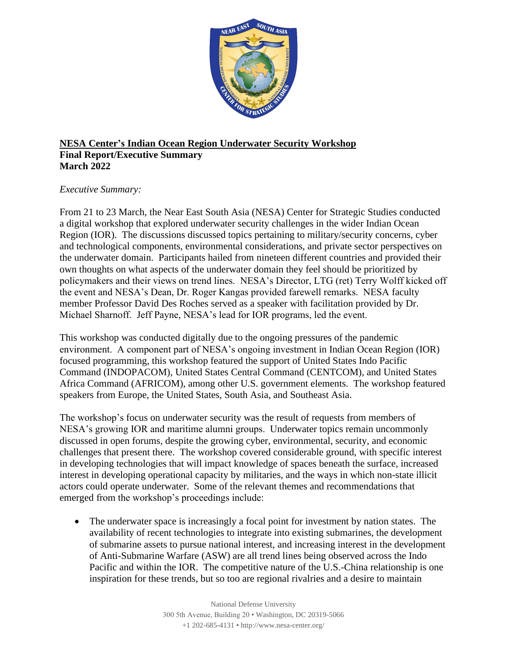

## **NESA Center's Indian Ocean Region Underwater Security Workshop Final Report/Executive Summary March 2022**

## *Executive Summary:*

From 21 to 23 March, the Near East South Asia (NESA) Center for Strategic Studies conducted a digital workshop that explored underwater security challenges in the wider Indian Ocean Region (IOR). The discussions discussed topics pertaining to military/security concerns, cyber and technological components, environmental considerations, and private sector perspectives on the underwater domain. Participants hailed from nineteen different countries and provided their own thoughts on what aspects of the underwater domain they feel should be prioritized by policymakers and their views on trend lines. NESA's Director, LTG (ret) Terry Wolff kicked off the event and NESA's Dean, Dr. Roger Kangas provided farewell remarks. NESA faculty member Professor David Des Roches served as a speaker with facilitation provided by Dr. Michael Sharnoff. Jeff Payne, NESA's lead for IOR programs, led the event.

This workshop was conducted digitally due to the ongoing pressures of the pandemic environment. A component part of NESA's ongoing investment in Indian Ocean Region (IOR) focused programming, this workshop featured the support of United States Indo Pacific Command (INDOPACOM), United States Central Command (CENTCOM), and United States Africa Command (AFRICOM), among other U.S. government elements. The workshop featured speakers from Europe, the United States, South Asia, and Southeast Asia.

The workshop's focus on underwater security was the result of requests from members of NESA's growing IOR and maritime alumni groups. Underwater topics remain uncommonly discussed in open forums, despite the growing cyber, environmental, security, and economic challenges that present there. The workshop covered considerable ground, with specific interest in developing technologies that will impact knowledge of spaces beneath the surface, increased interest in developing operational capacity by militaries, and the ways in which non-state illicit actors could operate underwater. Some of the relevant themes and recommendations that emerged from the workshop's proceedings include:

• The underwater space is increasingly a focal point for investment by nation states. The availability of recent technologies to integrate into existing submarines, the development of submarine assets to pursue national interest, and increasing interest in the development of Anti-Submarine Warfare (ASW) are all trend lines being observed across the Indo Pacific and within the IOR. The competitive nature of the U.S.-China relationship is one inspiration for these trends, but so too are regional rivalries and a desire to maintain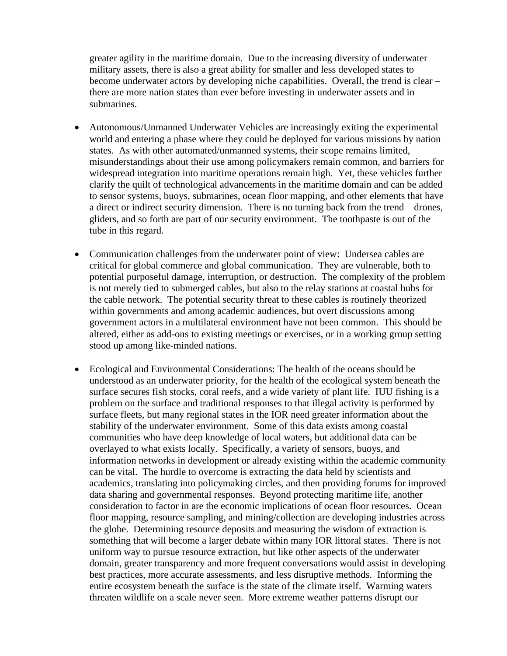greater agility in the maritime domain. Due to the increasing diversity of underwater military assets, there is also a great ability for smaller and less developed states to become underwater actors by developing niche capabilities. Overall, the trend is clear – there are more nation states than ever before investing in underwater assets and in submarines.

- Autonomous/Unmanned Underwater Vehicles are increasingly exiting the experimental world and entering a phase where they could be deployed for various missions by nation states. As with other automated/unmanned systems, their scope remains limited, misunderstandings about their use among policymakers remain common, and barriers for widespread integration into maritime operations remain high. Yet, these vehicles further clarify the quilt of technological advancements in the maritime domain and can be added to sensor systems, buoys, submarines, ocean floor mapping, and other elements that have a direct or indirect security dimension. There is no turning back from the trend – drones, gliders, and so forth are part of our security environment. The toothpaste is out of the tube in this regard.
- Communication challenges from the underwater point of view: Undersea cables are critical for global commerce and global communication. They are vulnerable, both to potential purposeful damage, interruption, or destruction. The complexity of the problem is not merely tied to submerged cables, but also to the relay stations at coastal hubs for the cable network. The potential security threat to these cables is routinely theorized within governments and among academic audiences, but overt discussions among government actors in a multilateral environment have not been common. This should be altered, either as add-ons to existing meetings or exercises, or in a working group setting stood up among like-minded nations.
- Ecological and Environmental Considerations: The health of the oceans should be understood as an underwater priority, for the health of the ecological system beneath the surface secures fish stocks, coral reefs, and a wide variety of plant life. IUU fishing is a problem on the surface and traditional responses to that illegal activity is performed by surface fleets, but many regional states in the IOR need greater information about the stability of the underwater environment. Some of this data exists among coastal communities who have deep knowledge of local waters, but additional data can be overlayed to what exists locally. Specifically, a variety of sensors, buoys, and information networks in development or already existing within the academic community can be vital. The hurdle to overcome is extracting the data held by scientists and academics, translating into policymaking circles, and then providing forums for improved data sharing and governmental responses. Beyond protecting maritime life, another consideration to factor in are the economic implications of ocean floor resources. Ocean floor mapping, resource sampling, and mining/collection are developing industries across the globe. Determining resource deposits and measuring the wisdom of extraction is something that will become a larger debate within many IOR littoral states. There is not uniform way to pursue resource extraction, but like other aspects of the underwater domain, greater transparency and more frequent conversations would assist in developing best practices, more accurate assessments, and less disruptive methods. Informing the entire ecosystem beneath the surface is the state of the climate itself. Warming waters threaten wildlife on a scale never seen. More extreme weather patterns disrupt our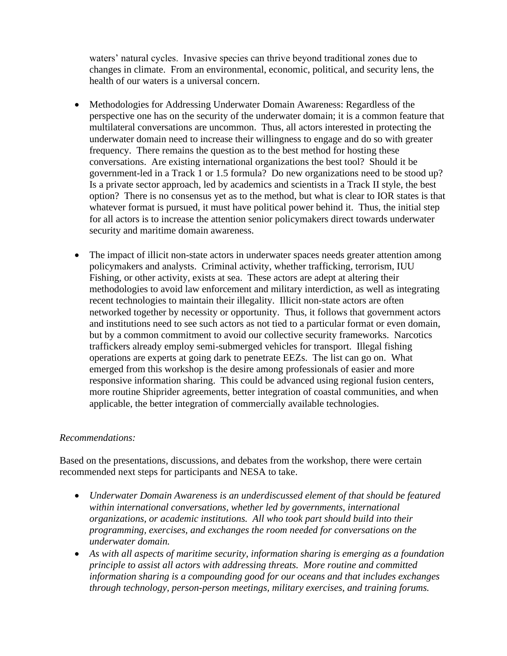waters' natural cycles. Invasive species can thrive beyond traditional zones due to changes in climate. From an environmental, economic, political, and security lens, the health of our waters is a universal concern.

- Methodologies for Addressing Underwater Domain Awareness: Regardless of the perspective one has on the security of the underwater domain; it is a common feature that multilateral conversations are uncommon. Thus, all actors interested in protecting the underwater domain need to increase their willingness to engage and do so with greater frequency. There remains the question as to the best method for hosting these conversations. Are existing international organizations the best tool? Should it be government-led in a Track 1 or 1.5 formula? Do new organizations need to be stood up? Is a private sector approach, led by academics and scientists in a Track II style, the best option? There is no consensus yet as to the method, but what is clear to IOR states is that whatever format is pursued, it must have political power behind it. Thus, the initial step for all actors is to increase the attention senior policymakers direct towards underwater security and maritime domain awareness.
- The impact of illicit non-state actors in underwater spaces needs greater attention among policymakers and analysts. Criminal activity, whether trafficking, terrorism, IUU Fishing, or other activity, exists at sea. These actors are adept at altering their methodologies to avoid law enforcement and military interdiction, as well as integrating recent technologies to maintain their illegality. Illicit non-state actors are often networked together by necessity or opportunity. Thus, it follows that government actors and institutions need to see such actors as not tied to a particular format or even domain, but by a common commitment to avoid our collective security frameworks. Narcotics traffickers already employ semi-submerged vehicles for transport. Illegal fishing operations are experts at going dark to penetrate EEZs. The list can go on. What emerged from this workshop is the desire among professionals of easier and more responsive information sharing. This could be advanced using regional fusion centers, more routine Shiprider agreements, better integration of coastal communities, and when applicable, the better integration of commercially available technologies.

## *Recommendations:*

Based on the presentations, discussions, and debates from the workshop, there were certain recommended next steps for participants and NESA to take.

- *Underwater Domain Awareness is an underdiscussed element of that should be featured within international conversations, whether led by governments, international organizations, or academic institutions. All who took part should build into their programming, exercises, and exchanges the room needed for conversations on the underwater domain.*
- *As with all aspects of maritime security, information sharing is emerging as a foundation principle to assist all actors with addressing threats. More routine and committed information sharing is a compounding good for our oceans and that includes exchanges through technology, person-person meetings, military exercises, and training forums.*